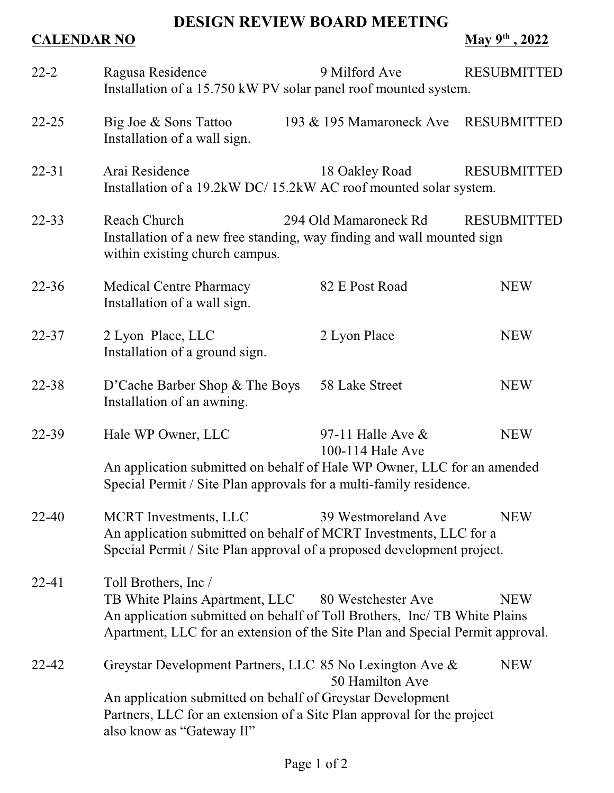## **DESIGN REVIEW BOARD MEETING**

## **CALENDAR NO May 9<sup>th</sup>**, 2022

| $22 - 2$  | Ragusa Residence<br>Installation of a 15.750 kW PV solar panel roof mounted system.                                                                                                                                                                      | 9 Milford Ave                                                                                                                                                                                           | <b>RESUBMITTED</b> |
|-----------|----------------------------------------------------------------------------------------------------------------------------------------------------------------------------------------------------------------------------------------------------------|---------------------------------------------------------------------------------------------------------------------------------------------------------------------------------------------------------|--------------------|
| $22 - 25$ | Big Joe & Sons Tattoo<br>Installation of a wall sign.                                                                                                                                                                                                    | 193 & 195 Mamaroneck Ave RESUBMITTED                                                                                                                                                                    |                    |
| $22 - 31$ | Arai Residence<br>Installation of a 19.2kW DC/15.2kW AC roof mounted solar system.                                                                                                                                                                       | 18 Oakley Road                                                                                                                                                                                          | <b>RESUBMITTED</b> |
| $22 - 33$ | Reach Church<br>294 Old Mamaroneck Rd<br><b>RESUBMITTED</b><br>Installation of a new free standing, way finding and wall mounted sign<br>within existing church campus.                                                                                  |                                                                                                                                                                                                         |                    |
| $22 - 36$ | <b>Medical Centre Pharmacy</b><br>Installation of a wall sign.                                                                                                                                                                                           | 82 E Post Road                                                                                                                                                                                          | <b>NEW</b>         |
| $22 - 37$ | 2 Lyon Place, LLC<br>Installation of a ground sign.                                                                                                                                                                                                      | 2 Lyon Place                                                                                                                                                                                            | <b>NEW</b>         |
| $22 - 38$ | D'Cache Barber Shop & The Boys<br>Installation of an awning.                                                                                                                                                                                             | 58 Lake Street                                                                                                                                                                                          | <b>NEW</b>         |
| 22-39     | Hale WP Owner, LLC                                                                                                                                                                                                                                       | 97-11 Halle Ave $\&$<br><b>NEW</b><br>100-114 Hale Ave<br>An application submitted on behalf of Hale WP Owner, LLC for an amended<br>Special Permit / Site Plan approvals for a multi-family residence. |                    |
| 22-40     | <b>MCRT</b> Investments, LLC<br>An application submitted on behalf of MCRT Investments, LLC for a<br>Special Permit / Site Plan approval of a proposed development project.                                                                              | 39 Westmoreland Ave                                                                                                                                                                                     | <b>NEW</b>         |
| $22 - 41$ | Toll Brothers, Inc /<br>TB White Plains Apartment, LLC<br>80 Westchester Ave<br><b>NEW</b><br>An application submitted on behalf of Toll Brothers, Inc/ TB White Plains<br>Apartment, LLC for an extension of the Site Plan and Special Permit approval. |                                                                                                                                                                                                         |                    |
| 22-42     | Greystar Development Partners, LLC 85 No Lexington Ave &<br>An application submitted on behalf of Greystar Development<br>Partners, LLC for an extension of a Site Plan approval for the project<br>also know as "Gateway II"                            | 50 Hamilton Ave                                                                                                                                                                                         | <b>NEW</b>         |